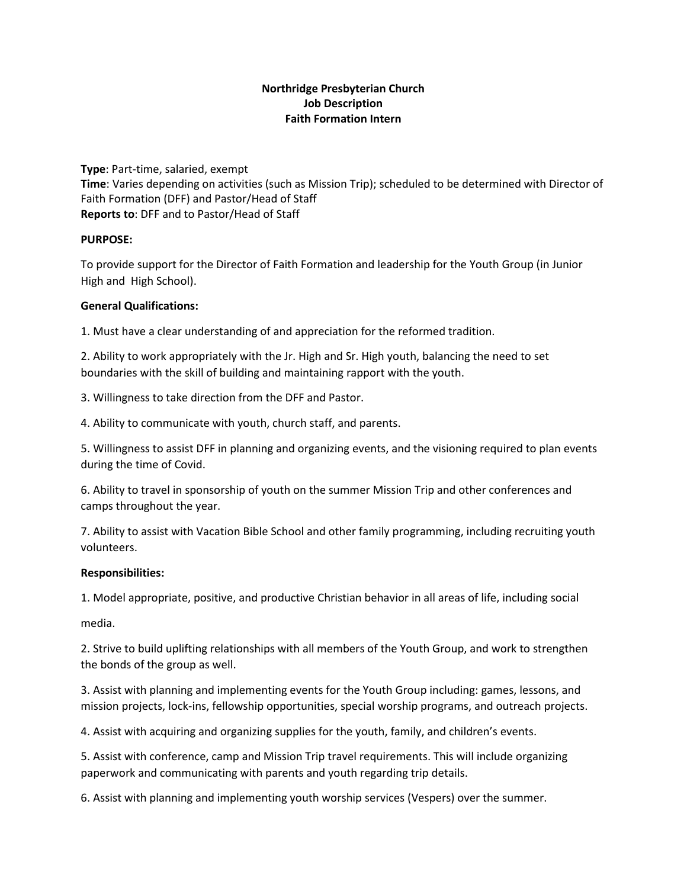# **Northridge Presbyterian Church Job Description Faith Formation Intern**

**Type**: Part-time, salaried, exempt **Time**: Varies depending on activities (such as Mission Trip); scheduled to be determined with Director of Faith Formation (DFF) and Pastor/Head of Staff **Reports to**: DFF and to Pastor/Head of Staff

## **PURPOSE:**

To provide support for the Director of Faith Formation and leadership for the Youth Group (in Junior High and High School).

### **General Qualifications:**

1. Must have a clear understanding of and appreciation for the reformed tradition.

2. Ability to work appropriately with the Jr. High and Sr. High youth, balancing the need to set boundaries with the skill of building and maintaining rapport with the youth.

3. Willingness to take direction from the DFF and Pastor.

4. Ability to communicate with youth, church staff, and parents.

5. Willingness to assist DFF in planning and organizing events, and the visioning required to plan events during the time of Covid.

6. Ability to travel in sponsorship of youth on the summer Mission Trip and other conferences and camps throughout the year.

7. Ability to assist with Vacation Bible School and other family programming, including recruiting youth volunteers.

#### **Responsibilities:**

1. Model appropriate, positive, and productive Christian behavior in all areas of life, including social

media.

2. Strive to build uplifting relationships with all members of the Youth Group, and work to strengthen the bonds of the group as well.

3. Assist with planning and implementing events for the Youth Group including: games, lessons, and mission projects, lock-ins, fellowship opportunities, special worship programs, and outreach projects.

4. Assist with acquiring and organizing supplies for the youth, family, and children's events.

5. Assist with conference, camp and Mission Trip travel requirements. This will include organizing paperwork and communicating with parents and youth regarding trip details.

6. Assist with planning and implementing youth worship services (Vespers) over the summer.